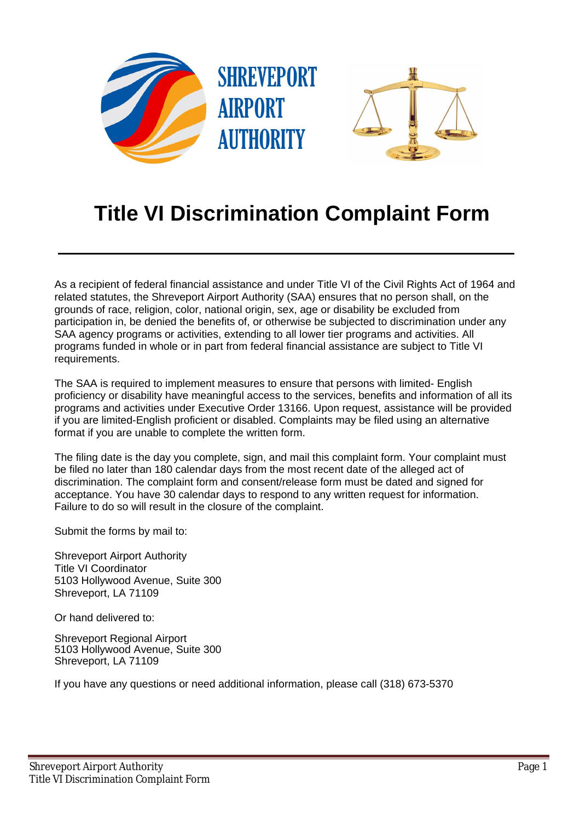

## **Title VI Discrimination Complaint Form**

As a recipient of federal financial assistance and under Title VI of the Civil Rights Act of 1964 and related statutes, the Shreveport Airport Authority (SAA) ensures that no person shall, on the grounds of race, religion, color, national origin, sex, age or disability be excluded from participation in, be denied the benefits of, or otherwise be subjected to discrimination under any SAA agency programs or activities, extending to all lower tier programs and activities. All programs funded in whole or in part from federal financial assistance are subject to Title VI requirements.

The SAA is required to implement measures to ensure that persons with limited- English proficiency or disability have meaningful access to the services, benefits and information of all its programs and activities under Executive Order 13166. Upon request, assistance will be provided if you are limited-English proficient or disabled. Complaints may be filed using an alternative format if you are unable to complete the written form.

The filing date is the day you complete, sign, and mail this complaint form. Your complaint must be filed no later than 180 calendar days from the most recent date of the alleged act of discrimination. The complaint form and consent/release form must be dated and signed for acceptance. You have 30 calendar days to respond to any written request for information. Failure to do so will result in the closure of the complaint.

Submit the forms by mail to:

Shreveport Airport Authority Title VI Coordinator 5103 Hollywood Avenue, Suite 300 Shreveport, LA 71109

Or hand delivered to:

Shreveport Regional Airport 5103 Hollywood Avenue, Suite 300 Shreveport, LA 71109

If you have any questions or need additional information, please call (318) 673-5370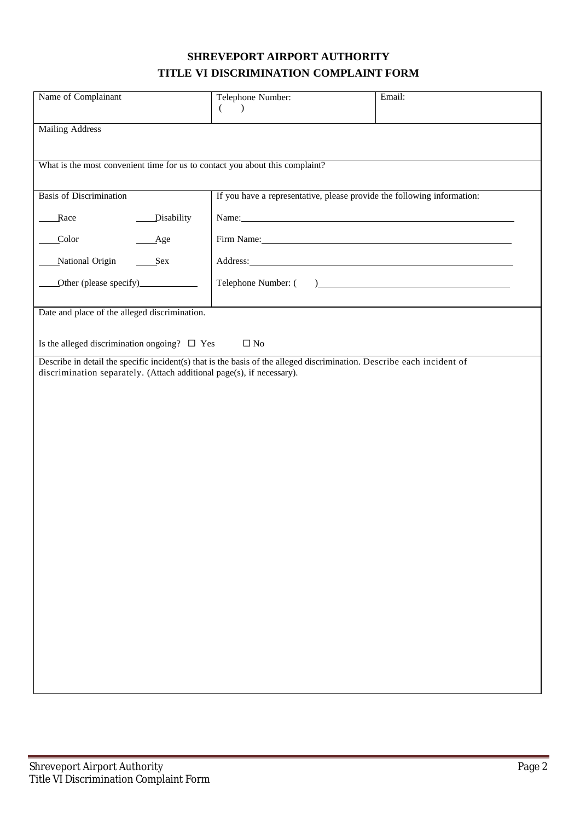## **SHREVEPORT AIRPORT AUTHORITY TITLE VI DISCRIMINATION COMPLAINT FORM**

| Name of Complainant                                                                                                                                                                             | Telephone Number:<br>$\left($<br>$\rightarrow$                                                                                                                                                                                 | Email: |
|-------------------------------------------------------------------------------------------------------------------------------------------------------------------------------------------------|--------------------------------------------------------------------------------------------------------------------------------------------------------------------------------------------------------------------------------|--------|
| <b>Mailing Address</b>                                                                                                                                                                          |                                                                                                                                                                                                                                |        |
|                                                                                                                                                                                                 |                                                                                                                                                                                                                                |        |
| What is the most convenient time for us to contact you about this complaint?                                                                                                                    |                                                                                                                                                                                                                                |        |
| <b>Basis of Discrimination</b>                                                                                                                                                                  | If you have a representative, please provide the following information:                                                                                                                                                        |        |
| _Disability<br>Race                                                                                                                                                                             | Name: Name and the set of the set of the set of the set of the set of the set of the set of the set of the set of the set of the set of the set of the set of the set of the set of the set of the set of the set of the set o |        |
| Color<br>$\_\$ {Age}                                                                                                                                                                            | Firm Name: 1988 and 1988 and 1988 and 1988 and 1988 and 1988 and 1988 and 1988 and 1988 and 1988 and 1988 and 1988 and 1988 and 1988 and 1988 and 1988 and 1988 and 1988 and 1988 and 1988 and 1988 and 1988 and 1988 and 1988 |        |
| National Origin<br>Sex                                                                                                                                                                          |                                                                                                                                                                                                                                |        |
| Other (please specify)                                                                                                                                                                          |                                                                                                                                                                                                                                |        |
| Date and place of the alleged discrimination.                                                                                                                                                   |                                                                                                                                                                                                                                |        |
| Is the alleged discrimination ongoing? $\Box$ Yes<br>$\Box$ No                                                                                                                                  |                                                                                                                                                                                                                                |        |
| Describe in detail the specific incident(s) that is the basis of the alleged discrimination. Describe each incident of<br>discrimination separately. (Attach additional page(s), if necessary). |                                                                                                                                                                                                                                |        |
|                                                                                                                                                                                                 |                                                                                                                                                                                                                                |        |
|                                                                                                                                                                                                 |                                                                                                                                                                                                                                |        |
|                                                                                                                                                                                                 |                                                                                                                                                                                                                                |        |
|                                                                                                                                                                                                 |                                                                                                                                                                                                                                |        |
|                                                                                                                                                                                                 |                                                                                                                                                                                                                                |        |
|                                                                                                                                                                                                 |                                                                                                                                                                                                                                |        |
|                                                                                                                                                                                                 |                                                                                                                                                                                                                                |        |
|                                                                                                                                                                                                 |                                                                                                                                                                                                                                |        |
|                                                                                                                                                                                                 |                                                                                                                                                                                                                                |        |
|                                                                                                                                                                                                 |                                                                                                                                                                                                                                |        |
|                                                                                                                                                                                                 |                                                                                                                                                                                                                                |        |
|                                                                                                                                                                                                 |                                                                                                                                                                                                                                |        |
|                                                                                                                                                                                                 |                                                                                                                                                                                                                                |        |
|                                                                                                                                                                                                 |                                                                                                                                                                                                                                |        |
|                                                                                                                                                                                                 |                                                                                                                                                                                                                                |        |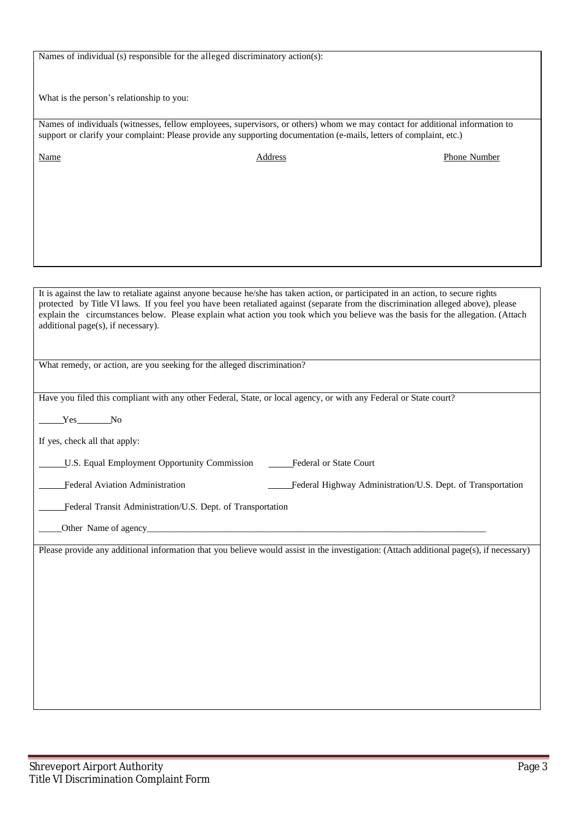Names of individual (s) responsible for the alleged discriminatory action(s):

What is the person's relationship to you:

Names of individuals (witnesses, fellow employees, supervisors, or others) whom we may contact for additional information to support or clarify your complaint: Please provide any supporting documentation (e-mails, letters of complaint, etc.)

Name Address Address Phone Number

It is against the law to retaliate against anyone because he/she has taken action, or participated in an action, to secure rights protected by Title VI laws. If you feel you have been retaliated against (separate from the discrimination alleged above), please explain the circumstances below. Please explain what action you took which you believe was the basis for the allegation. (Attach additional page(s), if necessary).

What remedy, or action, are you seeking for the alleged discrimination?

Have you filed this compliant with any other Federal, State, or local agency, or with any Federal or State court?

Yes No

If yes, check all that apply:

LU.S. Equal Employment Opportunity Commission Federal or State Court

Federal Aviation Administration Federal Highway Administration/U.S. Dept. of Transportation

Federal Transit Administration/U.S. Dept. of Transportation

Other Name of agency

Please provide any additional information that you believe would assist in the investigation: (Attach additional page(s), if necessary)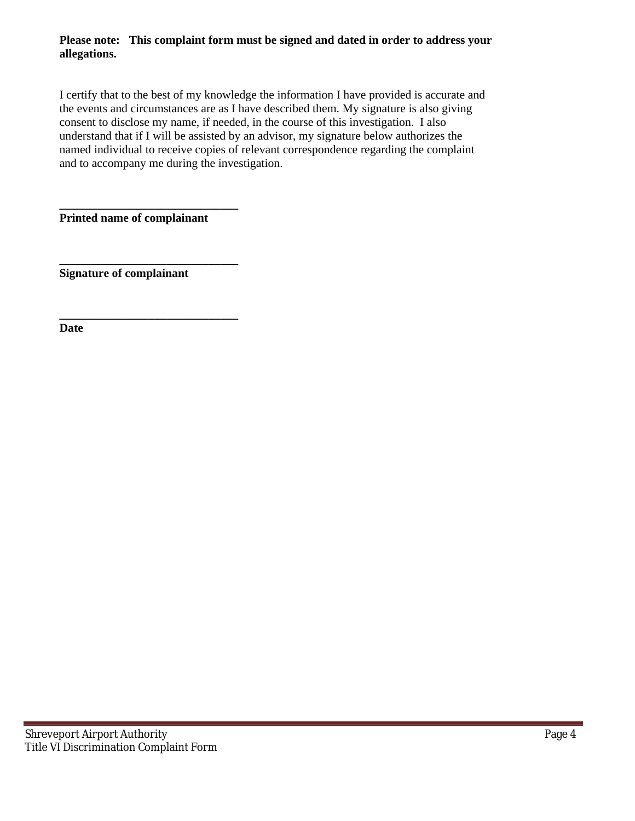## **Please note: This complaint form must be signed and dated in order to address your allegations.**

I certify that to the best of my knowledge the information I have provided is accurate and the events and circumstances are as I have described them. My signature is also giving consent to disclose my name, if needed, in the course of this investigation. I also understand that if I will be assisted by an advisor, my signature below authorizes the named individual to receive copies of relevant correspondence regarding the complaint and to accompany me during the investigation.

**Printed name of complainant**

**\_\_\_\_\_\_\_\_\_\_\_\_\_\_\_\_\_\_\_\_\_\_\_\_\_\_\_\_\_\_**

**\_\_\_\_\_\_\_\_\_\_\_\_\_\_\_\_\_\_\_\_\_\_\_\_\_\_\_\_\_\_**

**\_\_\_\_\_\_\_\_\_\_\_\_\_\_\_\_\_\_\_\_\_\_\_\_\_\_\_\_\_\_ Signature of complainant**

**Date**